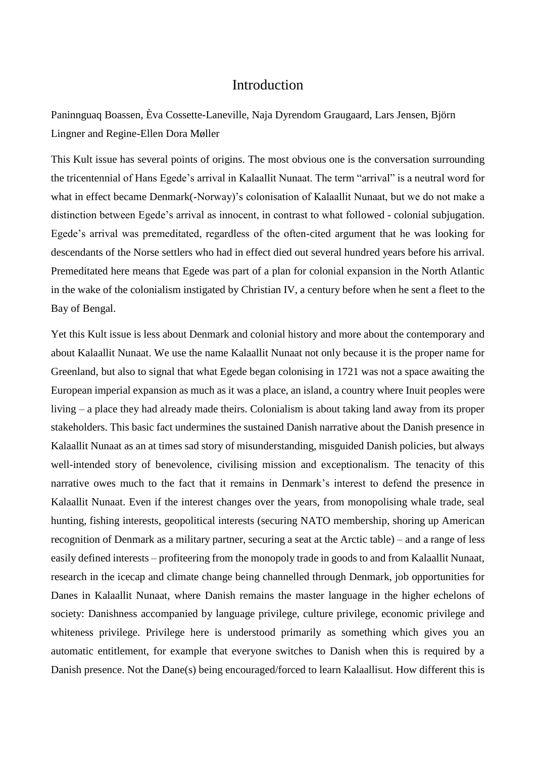## Introduction

Paninnguaq Boassen, Èva Cossette-Laneville, Naja Dyrendom Graugaard, Lars Jensen, Björn Lingner and Regine-Ellen Dora Møller

This Kult issue has several points of origins. The most obvious one is the conversation surrounding the tricentennial of Hans Egede's arrival in Kalaallit Nunaat. The term "arrival" is a neutral word for what in effect became Denmark(-Norway)'s colonisation of Kalaallit Nunaat, but we do not make a distinction between Egede's arrival as innocent, in contrast to what followed - colonial subjugation. Egede's arrival was premeditated, regardless of the often-cited argument that he was looking for descendants of the Norse settlers who had in effect died out several hundred years before his arrival. Premeditated here means that Egede was part of a plan for colonial expansion in the North Atlantic in the wake of the colonialism instigated by Christian IV, a century before when he sent a fleet to the Bay of Bengal.

Yet this Kult issue is less about Denmark and colonial history and more about the contemporary and about Kalaallit Nunaat. We use the name Kalaallit Nunaat not only because it is the proper name for Greenland, but also to signal that what Egede began colonising in 1721 was not a space awaiting the European imperial expansion as much as it was a place, an island, a country where Inuit peoples were living – a place they had already made theirs. Colonialism is about taking land away from its proper stakeholders. This basic fact undermines the sustained Danish narrative about the Danish presence in Kalaallit Nunaat as an at times sad story of misunderstanding, misguided Danish policies, but always well-intended story of benevolence, civilising mission and exceptionalism. The tenacity of this narrative owes much to the fact that it remains in Denmark's interest to defend the presence in Kalaallit Nunaat. Even if the interest changes over the years, from monopolising whale trade, seal hunting, fishing interests, geopolitical interests (securing NATO membership, shoring up American recognition of Denmark as a military partner, securing a seat at the Arctic table) – and a range of less easily defined interests – profiteering from the monopoly trade in goods to and from Kalaallit Nunaat, research in the icecap and climate change being channelled through Denmark, job opportunities for Danes in Kalaallit Nunaat, where Danish remains the master language in the higher echelons of society: Danishness accompanied by language privilege, culture privilege, economic privilege and whiteness privilege. Privilege here is understood primarily as something which gives you an automatic entitlement, for example that everyone switches to Danish when this is required by a Danish presence. Not the Dane(s) being encouraged/forced to learn Kalaallisut. How different this is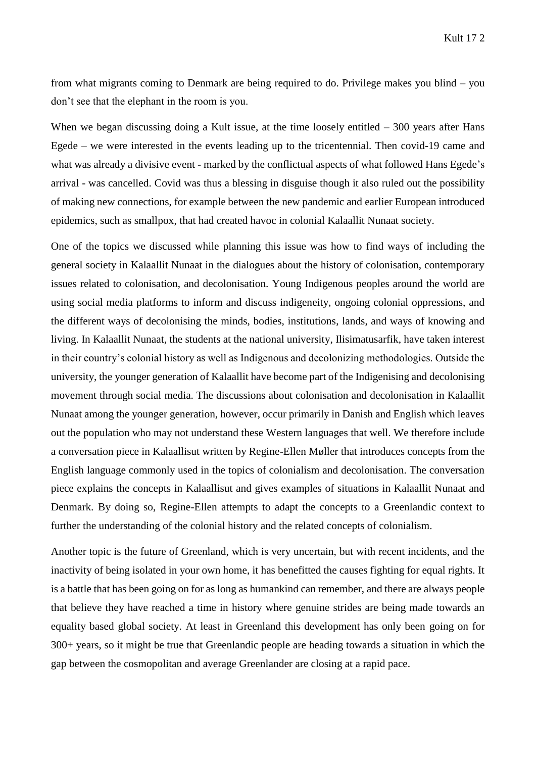from what migrants coming to Denmark are being required to do. Privilege makes you blind – you don't see that the elephant in the room is you.

When we began discussing doing a Kult issue, at the time loosely entitled  $-300$  years after Hans Egede – we were interested in the events leading up to the tricentennial. Then covid-19 came and what was already a divisive event - marked by the conflictual aspects of what followed Hans Egede's arrival - was cancelled. Covid was thus a blessing in disguise though it also ruled out the possibility of making new connections, for example between the new pandemic and earlier European introduced epidemics, such as smallpox, that had created havoc in colonial Kalaallit Nunaat society.

One of the topics we discussed while planning this issue was how to find ways of including the general society in Kalaallit Nunaat in the dialogues about the history of colonisation, contemporary issues related to colonisation, and decolonisation. Young Indigenous peoples around the world are using social media platforms to inform and discuss indigeneity, ongoing colonial oppressions, and the different ways of decolonising the minds, bodies, institutions, lands, and ways of knowing and living. In Kalaallit Nunaat, the students at the national university, Ilisimatusarfik, have taken interest in their country's colonial history as well as Indigenous and decolonizing methodologies. Outside the university, the younger generation of Kalaallit have become part of the Indigenising and decolonising movement through social media. The discussions about colonisation and decolonisation in Kalaallit Nunaat among the younger generation, however, occur primarily in Danish and English which leaves out the population who may not understand these Western languages that well. We therefore include a conversation piece in Kalaallisut written by Regine-Ellen Møller that introduces concepts from the English language commonly used in the topics of colonialism and decolonisation. The conversation piece explains the concepts in Kalaallisut and gives examples of situations in Kalaallit Nunaat and Denmark. By doing so, Regine-Ellen attempts to adapt the concepts to a Greenlandic context to further the understanding of the colonial history and the related concepts of colonialism.

Another topic is the future of Greenland, which is very uncertain, but with recent incidents, and the inactivity of being isolated in your own home, it has benefitted the causes fighting for equal rights. It is a battle that has been going on for as long as humankind can remember, and there are always people that believe they have reached a time in history where genuine strides are being made towards an equality based global society. At least in Greenland this development has only been going on for 300+ years, so it might be true that Greenlandic people are heading towards a situation in which the gap between the cosmopolitan and average Greenlander are closing at a rapid pace.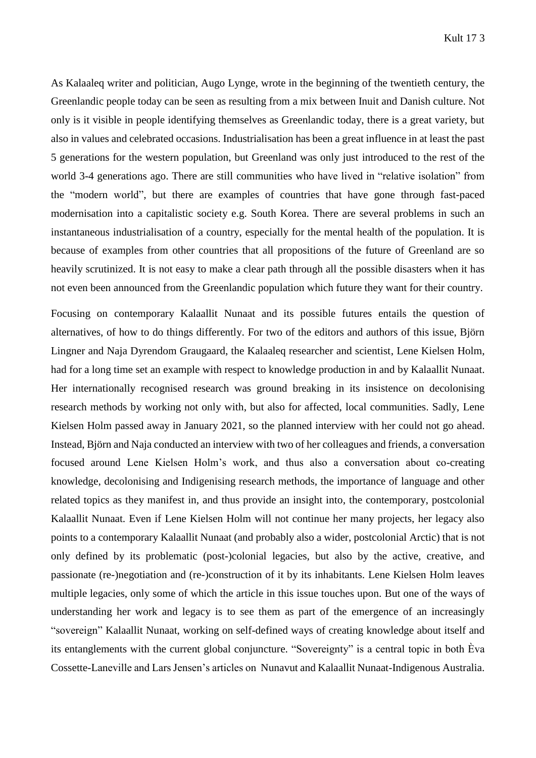As Kalaaleq writer and politician, Augo Lynge, wrote in the beginning of the twentieth century, the Greenlandic people today can be seen as resulting from a mix between Inuit and Danish culture. Not only is it visible in people identifying themselves as Greenlandic today, there is a great variety, but also in values and celebrated occasions. Industrialisation has been a great influence in at least the past 5 generations for the western population, but Greenland was only just introduced to the rest of the world 3-4 generations ago. There are still communities who have lived in "relative isolation" from the "modern world", but there are examples of countries that have gone through fast-paced modernisation into a capitalistic society e.g. South Korea. There are several problems in such an instantaneous industrialisation of a country, especially for the mental health of the population. It is because of examples from other countries that all propositions of the future of Greenland are so heavily scrutinized. It is not easy to make a clear path through all the possible disasters when it has not even been announced from the Greenlandic population which future they want for their country.

Focusing on contemporary Kalaallit Nunaat and its possible futures entails the question of alternatives, of how to do things differently. For two of the editors and authors of this issue, Björn Lingner and Naja Dyrendom Graugaard, the Kalaaleq researcher and scientist, Lene Kielsen Holm, had for a long time set an example with respect to knowledge production in and by Kalaallit Nunaat. Her internationally recognised research was ground breaking in its insistence on decolonising research methods by working not only with, but also for affected, local communities. Sadly, Lene Kielsen Holm passed away in January 2021, so the planned interview with her could not go ahead. Instead, Björn and Naja conducted an interview with two of her colleagues and friends, a conversation focused around Lene Kielsen Holm's work, and thus also a conversation about co-creating knowledge, decolonising and Indigenising research methods, the importance of language and other related topics as they manifest in, and thus provide an insight into, the contemporary, postcolonial Kalaallit Nunaat. Even if Lene Kielsen Holm will not continue her many projects, her legacy also points to a contemporary Kalaallit Nunaat (and probably also a wider, postcolonial Arctic) that is not only defined by its problematic (post-)colonial legacies, but also by the active, creative, and passionate (re-)negotiation and (re-)construction of it by its inhabitants. Lene Kielsen Holm leaves multiple legacies, only some of which the article in this issue touches upon. But one of the ways of understanding her work and legacy is to see them as part of the emergence of an increasingly "sovereign" Kalaallit Nunaat, working on self-defined ways of creating knowledge about itself and its entanglements with the current global conjuncture. "Sovereignty" is a central topic in both Èva Cossette-Laneville and Lars Jensen's articles on Nunavut and Kalaallit Nunaat-Indigenous Australia.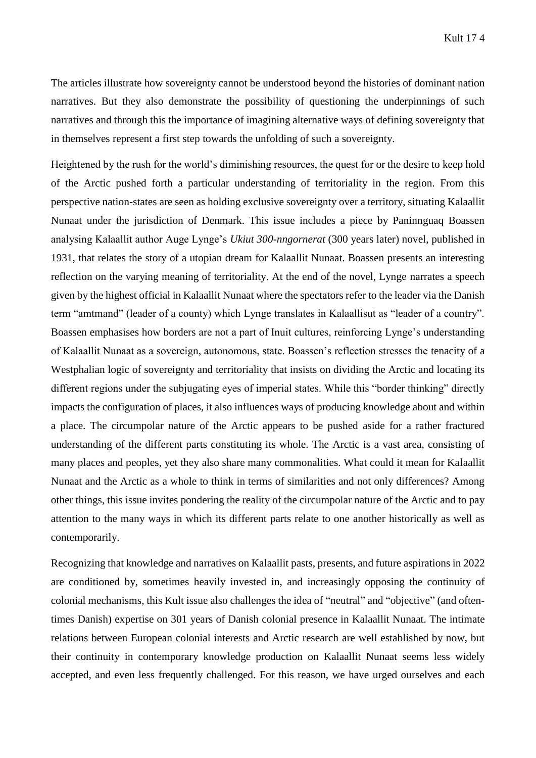The articles illustrate how sovereignty cannot be understood beyond the histories of dominant nation narratives. But they also demonstrate the possibility of questioning the underpinnings of such narratives and through this the importance of imagining alternative ways of defining sovereignty that in themselves represent a first step towards the unfolding of such a sovereignty.

Heightened by the rush for the world's diminishing resources, the quest for or the desire to keep hold of the Arctic pushed forth a particular understanding of territoriality in the region. From this perspective nation-states are seen as holding exclusive sovereignty over a territory, situating Kalaallit Nunaat under the jurisdiction of Denmark. This issue includes a piece by Paninnguaq Boassen analysing Kalaallit author Auge Lynge's *Ukiut 300-nngornerat* (300 years later) novel, published in 1931, that relates the story of a utopian dream for Kalaallit Nunaat. Boassen presents an interesting reflection on the varying meaning of territoriality. At the end of the novel, Lynge narrates a speech given by the highest official in Kalaallit Nunaat where the spectators refer to the leader via the Danish term "amtmand" (leader of a county) which Lynge translates in Kalaallisut as "leader of a country". Boassen emphasises how borders are not a part of Inuit cultures, reinforcing Lynge's understanding of Kalaallit Nunaat as a sovereign, autonomous, state. Boassen's reflection stresses the tenacity of a Westphalian logic of sovereignty and territoriality that insists on dividing the Arctic and locating its different regions under the subjugating eyes of imperial states. While this "border thinking" directly impacts the configuration of places, it also influences ways of producing knowledge about and within a place. The circumpolar nature of the Arctic appears to be pushed aside for a rather fractured understanding of the different parts constituting its whole. The Arctic is a vast area, consisting of many places and peoples, yet they also share many commonalities. What could it mean for Kalaallit Nunaat and the Arctic as a whole to think in terms of similarities and not only differences? Among other things, this issue invites pondering the reality of the circumpolar nature of the Arctic and to pay attention to the many ways in which its different parts relate to one another historically as well as contemporarily.

Recognizing that knowledge and narratives on Kalaallit pasts, presents, and future aspirations in 2022 are conditioned by, sometimes heavily invested in, and increasingly opposing the continuity of colonial mechanisms, this Kult issue also challenges the idea of "neutral" and "objective" (and oftentimes Danish) expertise on 301 years of Danish colonial presence in Kalaallit Nunaat. The intimate relations between European colonial interests and Arctic research are well established by now, but their continuity in contemporary knowledge production on Kalaallit Nunaat seems less widely accepted, and even less frequently challenged. For this reason, we have urged ourselves and each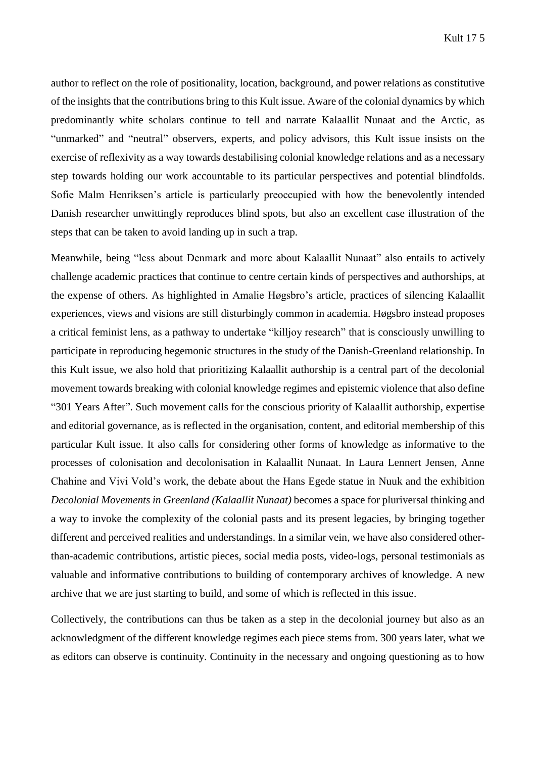author to reflect on the role of positionality, location, background, and power relations as constitutive of the insights that the contributions bring to this Kult issue. Aware of the colonial dynamics by which predominantly white scholars continue to tell and narrate Kalaallit Nunaat and the Arctic, as "unmarked" and "neutral" observers, experts, and policy advisors, this Kult issue insists on the exercise of reflexivity as a way towards destabilising colonial knowledge relations and as a necessary step towards holding our work accountable to its particular perspectives and potential blindfolds. Sofie Malm Henriksen's article is particularly preoccupied with how the benevolently intended Danish researcher unwittingly reproduces blind spots, but also an excellent case illustration of the steps that can be taken to avoid landing up in such a trap.

Meanwhile, being "less about Denmark and more about Kalaallit Nunaat" also entails to actively challenge academic practices that continue to centre certain kinds of perspectives and authorships, at the expense of others. As highlighted in Amalie Høgsbro's article, practices of silencing Kalaallit experiences, views and visions are still disturbingly common in academia. Høgsbro instead proposes a critical feminist lens, as a pathway to undertake "killjoy research" that is consciously unwilling to participate in reproducing hegemonic structures in the study of the Danish-Greenland relationship. In this Kult issue, we also hold that prioritizing Kalaallit authorship is a central part of the decolonial movement towards breaking with colonial knowledge regimes and epistemic violence that also define "301 Years After". Such movement calls for the conscious priority of Kalaallit authorship, expertise and editorial governance, as is reflected in the organisation, content, and editorial membership of this particular Kult issue. It also calls for considering other forms of knowledge as informative to the processes of colonisation and decolonisation in Kalaallit Nunaat. In Laura Lennert Jensen, Anne Chahine and Vivi Vold's work, the debate about the Hans Egede statue in Nuuk and the exhibition *Decolonial Movements in Greenland (Kalaallit Nunaat)* becomes a space for pluriversal thinking and a way to invoke the complexity of the colonial pasts and its present legacies, by bringing together different and perceived realities and understandings. In a similar vein, we have also considered otherthan-academic contributions, artistic pieces, social media posts, video-logs, personal testimonials as valuable and informative contributions to building of contemporary archives of knowledge. A new archive that we are just starting to build, and some of which is reflected in this issue.

Collectively, the contributions can thus be taken as a step in the decolonial journey but also as an acknowledgment of the different knowledge regimes each piece stems from. 300 years later, what we as editors can observe is continuity. Continuity in the necessary and ongoing questioning as to how